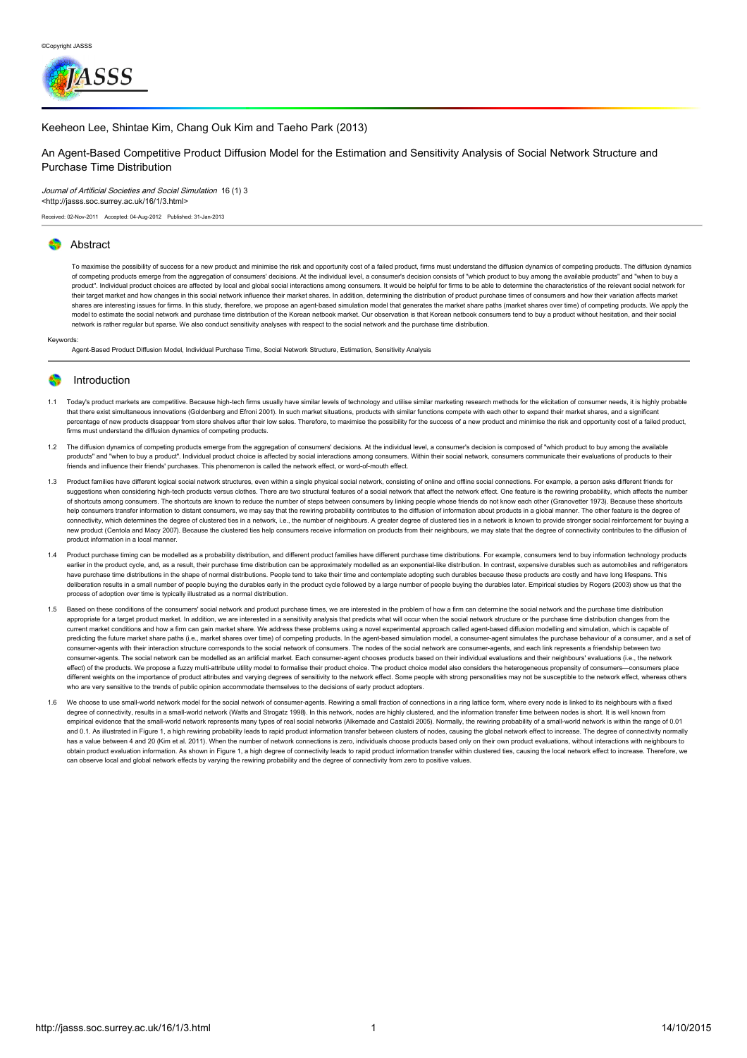

### [Keeheon](http://jasss.soc.surrey.ac.uk/16/1/3/lee.html) Lee, Shintae Kim, Chang Ouk Kim and Taeho Park (2013)

## An Agent-Based Competitive Product Diffusion Model for the Estimation and Sensitivity Analysis of Social Network Structure and Purchase Time Distribution

### Journal of Artificial Societies and Social Simulation 16 (1) 3

<http://jasss.soc.surrey.ac.uk/16/1/3.html>

Received: 02-Nov-2011 Accepted: 04-Aug-2012 Published: 31-Jan-2013

### **Abstract**

To maximise the possibility of success for a new product and minimise the risk and opportunity cost of a failed product, firms must understand the diffusion dynamics of competing products. The diffusion dynamics of competing products emerge from the aggregation of consumers' decisions. At the individual level, a consumer's decision consists of "which product to buy among the available products" and "when to buy a product". Individual product choices are affected by local and global social interactions among consumers. It would be helpful for firms to be able to determine the characteristics of the relevant social network for .<br>their target market and how changes in this social network influence their market shares. In addition, determining the distribution of product purchase times of consumers and how their variation affects market shares are interesting issues for firms. In this study, therefore, we propose an agent-based simulation model that generates the market share paths (market shares over time) of competing products. We apply the model to estimate the social network and purchase time distribution of the Korean netbook market. Our observation is that Korean netbook consumers tend to buy a product without hesitation, and their social network is rather regular but sparse. We also conduct sensitivity analyses with respect to the social network and the purchase time distribution.

#### Keywords:

Agent-Based Product Diffusion Model, Individual Purchase Time, Social Network Structure, Estimation, Sensitivity Analysis

### Introduction

- 1.1 Today's product markets are competitive. Because high-tech firms usually have similar levels of technology and utilise similar marketing research methods for the elicitation of consumer needs, it is highly probable that there exist simultaneous innovations [\(Goldenberg](#page-11-0) and Efroni 2001). In such market situations, products with similar functions compete with each other to expand their market shares, and a signific percentage of new products disappear from store shelves after their low sales. Therefore, to maximise the possibility for the success of a new product and minimise the risk and opportunity cost of a failed product, firms must understand the diffusion dynamics of competing products.
- 1.2 The diffusion dynamics of competing products emerge from the aggregation of consumers' decisions. At the individual level, a consumer's decision is composed of "which product to buy among the available products" and "when to buy a product". Individual product choice is affected by social interactions among consumers. Within their social network, consumers communicate their evaluations of products to their friends and influence their friends' purchases. This phenomenon is called the network effect, or word-of-mouth effect.
- 1.3 Product families have different logical social network structures, even within a single physical social network, consisting of online and offline social connections. For example, a person asks different friends for suggestions when considering high-tech products versus clothes. There are two structural features of a social network that affect the network effect. One feature is the rewiring probability, which affects the number sugges of shortcuts among consumers. The shortcuts are known to reduce the number of steps between consumers by linking people whose friends do not know each other [\(Granovetter](#page-11-1) 1973). Because these shortcuts help consumers transfer information to distant consumers, we may say that the rewiring probability contributes to the diffusion of information about products in a global manner. The other feature is the degree of connectivity, which determines the degree of clustered ties in a network, i.e., the number of neighbours. A greater degree of clustered ties in a network is known to provide stronger social reinforcement for buying a new product [\(Centola](#page-11-2) and Macy 2007). Because the clustered ties help consumers receive information on products from their neighbours, we may state that the degree of connectivity contributes to the diffusion of product information in a local manner.
- 1.4 Product purchase timing can be modelled as a probability distribution, and different product families have different purchase time distributions. For example, consumers tend to buy information technology products earlier in the product cycle, and, as a result, their purchase time distribution can be approximately modelled as an exponential-like distribution. In contrast, expensive durables such as automobiles and refrigerators have purchase time distributions in the shape of normal distributions. People tend to take their time and contemplate adopting such durables because these products are costly and have long lifespans. This deliberation results in a small number of people buying the durables early in the product cycle followed by a large number of people buying the durables later. Empirical studies by Rogers [\(2003](#page-11-3)) show us that the process of adoption over time is typically illustrated as a normal distribution.
- 1.5 Based on these conditions of the consumers' social network and product purchase times, we are interested in the problem of how a firm can determine the social network and the purchase time distribution appropriate for a target product market. In addition, we are interested in a sensitivity analysis that predicts what will occur when the social network structure or the purchase time distribution changes from the current market conditions and how a firm can gain market share. We address these problems using a novel experimental approach called agent-based diffusion modelling and simulation, which is capable of predicting the future market share paths (i.e., market shares over time) of competing products. In the agent-based simulation model, a consumer-agent simulates the purchase behaviour of a consumer, and a set of consumer-agents with their interaction structure corresponds to the social network of consumers. The nodes of the social network are consumer-agents, and each link represents a friendship between two consumer-agents. The social network can be modelled as an artificial market. Each consumer-agent chooses products based on their individual evaluations and their neighbours' evaluations (i.e., the network effect) of the products. We propose a fuzzy multi-attribute utility model to formalise their product choice. The product choice model also considers the heterogeneous propensity of consumers—consumers place different weights on the importance of product attributes and varying degrees of sensitivity to the network effect. Some people with strong personalities may not be susceptible to the network effect, whereas others who are very sensitive to the trends of public opinion accommodate themselves to the decisions of early product adopters
- 1.6 We choose to use small-world network model for the social network of consumer-agents. Rewiring a small fraction of connections in a ring lattice form, where every node is linked to its neighbours with a fixed degree of connectivity, results in a small-world network (Watts and [Strogatz](#page-11-4) 1998). In this network, nodes are highly clustered, and the information transfer time between nodes is short. It is well known from empirical evidence that the small-world network represents many types of real social networks [\(Alkemade](#page-10-0) and Castaldi 2005). Normally, the rewiring probability of a small-world network is within the range of 0.01 and 0.1. As illustrated in Figure 1, a high rewiring probability leads to rapid product information transfer between clusters of nodes, causing the global network effect to increase. The degree of connectivity normally has a value between 4 and 20 (Kim et al. [2011](#page-11-5)). When the number of network connections is zero, individuals choose products based only on their own product evaluations, without interactions with neighbours to obtain product evaluation information. As shown in Figure 1, a high degree of connectivity leads to rapid product information transfer within clustered ties, causing the local network effect to increase. Therefore, we can observe local and global network effects by varying the rewiring probability and the degree of connectivity from zero to positive values.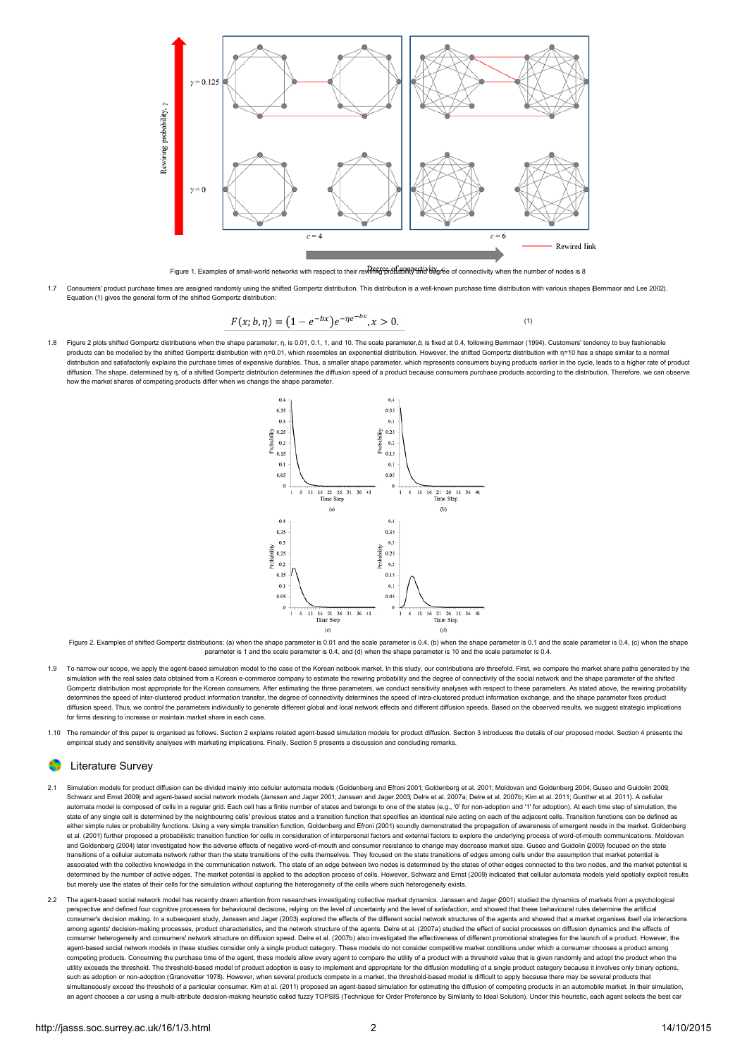

Figure 1. Examples of small-world networks with respect to their rewiring probability and degree of connectivity when the number of nodes is 8

1.7 Consumers' product purchase times are assigned randomly using the shifted Gompertz distribution. This distribution is a well-known purchase time distribution with various shapes [\(Bemmaor](#page-10-1) and Lee 2002). Equation (1) gives the general form of the shifted Gompertz distribution:

$$
F(x; b, \eta) = (1 - e^{-bx})e^{-\eta e^{-bx}}, x > 0.
$$
 (1)

1.8 Figure 2 plots shifted Gompertz distributions when the shape parameter, n, is 0.01, 0.1, 1, and 10. The scale parameter, b, is fixed at 0.4, following Bemmaor [\(1994](#page-10-2)). Customers' tendency to buy fashionable products can be modelled by the shifted Gompertz distribution with η=0.01, which resembles an exponential distribution. However, the shifted Gompertz distribution with η=10 has a shape similar to a normal distribution and satisfactorily explains the purchase times of expensive durables. Thus, a smaller shape parameter, which represents consumers buying products earlier in the cycle, leads to a higher rate of product diffusion. The shape, determined by η, of a shifted Gompertz distribution determines the diffusion speed of a product because consumers purchase products according to the distribution. Therefore, we can observe how the market shares of competing products differ when we change the shape parameter.



Figure 2. Examples of shifted Gompertz distributions: (a) when the shape parameter is 0.01 and the scale parameter is 0.4, (b) when the shape parameter is 0.1 and the scale parameter is 0.4, (c) when the shape parameter is 1 and the scale parameter is 0.4, and (d) when the shape parameter is 10 and the scale parameter is 0.4.

- 1.9 To narrow our scope, we apply the agent-based simulation model to the case of the Korean netbook market. In this study, our contributions are threefold. First, we compare the market share paths generated by the simulation with the real sales data obtained from a Korean e-commerce company to estimate the rewiring probability and the degree of connectivity of the social network and the shape parameter of the shifted Gompertz distribution most appropriate for the Korean consumers. After estimating the three parameters, we conduct sensitivity analyses with respect to these parameters. As stated above, the rewiring probability determines the speed of inter-clustered product information transfer, the degree of connectivity determines the speed of intra-clustered product information exchange, and the shape parameter fixes product diffusion speed. Thus, we control the parameters individually to generate different global and local network effects and different diffusion speeds. Based on the observed results, we suggest strategic implications for firms desiring to increase or maintain market share in each case.
- 1.10 The remainder of this paper is organised as follows. Section 2 explains related agent-based simulation models for product diffusion. Section 3 introduces the details of our proposed model. Section 4 presents the empirical study and sensitivity analyses with marketing implications. Finally, Section 5 presents a discussion and concluding remarks.

## Literature Survey

- 2.1 Simulation models for product diffusion can be divided mainly into cellular automata models [\(Goldenberg](#page-11-0) and Efroni 2001; [Goldenberg](#page-11-7) et al. 2001; Moldovan and Goldenberg 2004; Guseo and [Guidolin](#page-11-8) 2009; Guseo and Guidolin [Schwarz](#page-11-9) and Ernst 2009) and agent-based social network models [\(Janssen](#page-11-10) and Jager 2001; [Janssen](#page-11-11) and Jager 2003; Delre et al. [2007a](#page-11-12); Delre et al. [2007b](#page-11-13); Kim et al. [2011](#page-11-5); [Gunther](#page-11-14) et al. 2011). A cellular automata model is composed of cells in a regular grid. Each cell has a finite number of states and belongs to one of the states (e.g., '0' for non-adoption and '1' for adoption). At each time step of simulation, the state of any single cell is determined by the neighbouring cells' previous states and a transition function that specifies an identical rule acting on each of the adjacent cells. Transition functions can be defined as either simple rules or probability functions. Using a very simple transition function, Goldenberg and Efroni [\(2001](#page-11-0)) soundly demonstrated the propagation of awareness of emergent needs in the market. Goldenberg et al. ([2001](#page-11-6)) further proposed a probabilistic transition function for cells in consideration of interpersonal factors and external factors to explore the underlying process of word-of-mouth communications. Moldovan and Goldenberg [\(2004](#page-11-7)) later investigated how the adverse effects of negative word-of-mouth and consumer resistance to change may decrease market size. Guseo and Guidolin [\(2009](#page-11-8)) focused on the state transitions of a cellular automata network rather than the state transitions of the cells themselves. They focused on the state transitions of edges among cells under the assumption that market potential is associated with the collective knowledge in the communication network. The state of an edge between two nodes is determined by the states of other edges connected to the two nodes, and the market potential is determined by the number of active edges. The market potential is applied to the adoption process of cells. However, Schwarz and Ernst ([2009](#page-11-9)) indicated that cellular automata models yield spatially explicit results but merely use the states of their cells for the simulation without capturing the heterogeneity of the cells where such heterogeneity exists.
- 2.2 The agent-based social network model has recently drawn attention from researchers investigating collective market dynamics. Janssen and Jager [\(2001](#page-11-10)) studied the dynamics of markets from a psychological perspective and defined four cognitive processes for behavioural decisions, relying on the level of uncertainty and the level of satisfaction, and showed that these behavioural rules determine the artificial consumer's decision making. In a subsequent study, Janssen and Jager [\(2003](#page-11-11)) explored the effects of the different social network structures of the agents and showed that a market organises itself via interactions among agents' decision-making processes, product characteristics, and the network structure of the agents. Delre et al. ([2007a](#page-11-12)) studied the effect of social processes on diffusion dynamics and the effects of consumer heterogeneity and consumers' network structure on diffusion speed. Delre et al. [\(2007b](#page-11-13)) also investigated the effectiveness of different promotional strategies for the launch of a product. However, the agent-based social network models in these studies consider only a single product category. These models do not consider competitive market conditions under which a consumer chooses a product among competing products. Concerning the purchase time of the agent, these models allow every agent to compare the utility of a product with a threshold value that is given randomly and adopt the product when the utility exceeds the threshold. The threshold-based model of product adoption is easy to implement and appropriate for the diffusion modelling of a single product category because it involves only binary options, such as adoption or non-adoption ([Granovetter](#page-11-15) 1978). However, when several products compete in a market, the threshold-based model is difficult to apply because there may be several products that simultaneously exceed the threshold of a particular consumer. Kim et al. [\(2011](#page-11-5)) proposed an agent-based simulation for estimating the diffusion of competing products in an automobile market. In their simulation, an agent chooses a car using a multi-attribute decision-making heuristic called fuzzy TOPSIS (Technique for Order Preference by Similarity to Ideal Solution). Under this heuristic, each agent selects the best car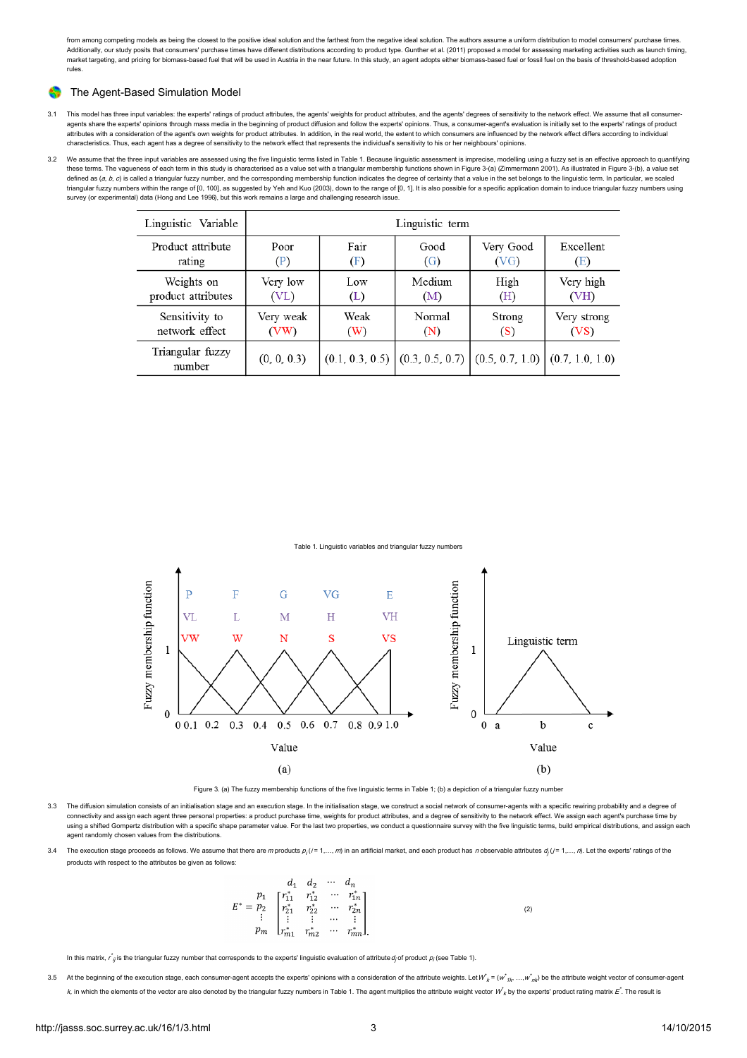from among competing models as being the closest to the positive ideal solution and the farthest from the negative ideal solution. The authors assume a uniform distribution to model consumers' purchase times. Additionally, our study posits that consumers' purchase times have different distributions according to product type. Gunther et al. ([2011](#page-11-14)) proposed a model for assessing marketing activities such as launch timing, market targeting, and pricing for biomass-based fuel that will be used in Austria in the near future. In this study, an agent adopts either biomass-based fuel or fossil fuel on the basis of threshold-based adoption rules.

#### ଈ The Agent-Based Simulation Model

- 3.1 This model has three input variables: the experts' ratings of product attributes, the agents' weights for product attributes, and the agents' degrees of sensitivity to the network effect. We assume that all consumeragents share the experts' opinions through mass media in the beginning of product diffusion and follow the experts' opinions. Thus, a consumer-agent's evaluation is initially set to the experts' ratings of product attributes with a consideration of the agent's own weights for product attributes. In addition, in the real world, the extent to which consumers are influenced by the network effect differs according to individual characteristics. Thus, each agent has a degree of sensitivity to the network effect that represents the individual's sensitivity to his or her neighbours' opinions.
- 3.2 We assume that the three input variables are assessed using the five linguistic terms listed in Table 1. Because linguistic assessment is imprecise, modelling using a fuzzy set is an effective approach to quantifying these terms. The vagueness of each term in this study is characterised as a value set with a triangular membership functions shown in Figure 3-(a) [\(Zimmermann](#page-11-16) 2001). As illustrated in Figure 3-(b), a value set defined as (*a, b, c*) is called a triangular fuzzy number, and the corresponding membership function indicates the degree of certainty that a value in the set belongs to the linguistic term. In particular, we scaled<br>trian survey (or experimental) data [\(Hong](#page-11-18) and Lee 1996), but this work remains a large and challenging research issue.

| Linguistic Variable        | Linguistic term |      |                                                                         |           |             |  |  |
|----------------------------|-----------------|------|-------------------------------------------------------------------------|-----------|-------------|--|--|
| Product attribute          | Poor            | Fair | Good                                                                    | Very Good | Excellent   |  |  |
| rating                     | (P)             | (F)  | (G)                                                                     | (VG)      | (E)         |  |  |
| Weights on                 | Very low        | Low  | Medium                                                                  | High      | Very high   |  |  |
| product attributes         | (VL)            | (L)  | (M)                                                                     | (H)       | (VH)        |  |  |
| Sensitivity to             | Very weak       | Weak | Normal                                                                  | Strong    | Very strong |  |  |
| network effect             | (VW)            | (W)  | (N)                                                                     | (S)       | (VS)        |  |  |
| Triangular fuzzy<br>number | (0, 0, 0.3)     |      | $(0.1, 0.3, 0.5)$ $(0.3, 0.5, 0.7)$ $(0.5, 0.7, 1.0)$ $(0.7, 1.0, 1.0)$ |           |             |  |  |

Table 1. Linguistic variables and triangular fuzzy numbers



Figure 3. (a) The fuzzy membership functions of the five linguistic terms in Table 1; (b) a depiction of a triangular fuzzy number

- 3.3 The diffusion simulation consists of an initialisation stage and an execution stage. In the initialisation stage, we construct a social network of consumer-agents with a specific rewiring probability and a degree of connectivity and assign each agent three personal properties: a product purchase time, weights for product attributes, and a degree of sensitivity to the network effect. We assign each agent's purchase time by using a shifted Gompertz distribution with a specific shape parameter value. For the last two properties, we conduct a questionnaire survey with the five linguistic terms, build empirical distributions, and assign each agent randomly chosen values from the distributions.
- 3.4 The execution stage proceeds as follows. We assume that there are m products  $p_i (i = 1, ..., m)$  in an artificial market, and each product has n observable attributes  $d_i (i = 1, ..., n)$ . Let the experts' ratings of the products with respect to the attributes be given as follows:

|  |                                                                                                                                                                              | $d_1$ $d_2$ $\cdots$ $d_n$ |  |
|--|------------------------------------------------------------------------------------------------------------------------------------------------------------------------------|----------------------------|--|
|  | $E^* = \begin{bmatrix} p_1 & r_{11}^* & r_{12}^* & \cdots & r_{1n}^* \\ r_{21}^* & r_{22}^* & \cdots & r_{2n}^* \\ \vdots & \vdots & \vdots & \cdots & \vdots \end{bmatrix}$ |                            |  |
|  |                                                                                                                                                                              |                            |  |
|  |                                                                                                                                                                              |                            |  |
|  | $p_m$ $\begin{bmatrix} r_{m1}^* & r_{m2}^* & \cdots & r_{mn}^* \end{bmatrix}$                                                                                                |                            |  |

In this matrix,  $r^*_{ij}$  is the triangular fuzzy number that corresponds to the experts' linguistic evaluation of attribute  $d_j$  of product  $\rho_i$  (see Table 1).

3.5 At the beginning of the execution stage, each consumer-agent accepts the experts' opinions with a consideration of the attribute weights. Let  $W^i{}_k = (w^i{}_{1k}, ..., w^i{}_{nk})$  be the attribute weight vector of consumer-agent k, in which the elements of the vector are also denoted by the triangular fuzzy numbers in Table 1. The agent multiplies the attribute weight vector  $W_k$  by the experts' product rating matrix  $E^*$ . The result is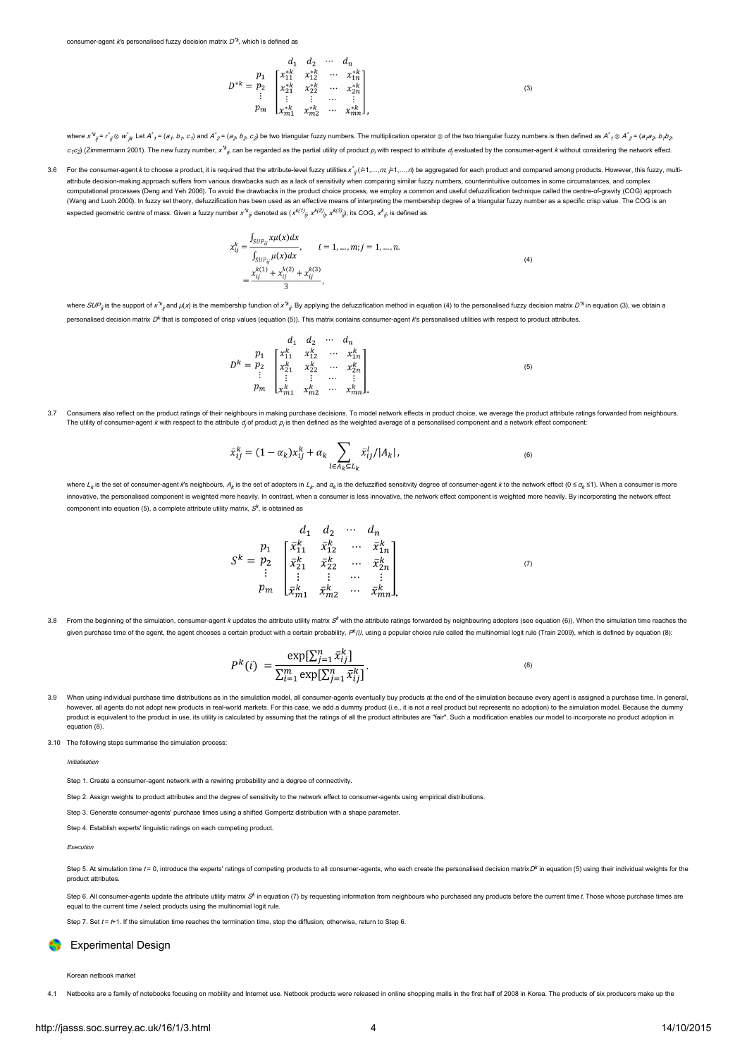consumer-agent *k*'s personalised fuzzy decision matrix  $D^{\text{'}k}$ , which is defined as

$$
D^{*k} = \begin{bmatrix} p_1 & a_1 & d_2 & \cdots & d_n \\ p_1 & x_{11}^{*k} & x_{12}^{*k} & \cdots & x_{1n}^{*k} \\ x_{21}^{*k} & x_{22}^{*k} & \cdots & x_{2n}^{*k} \\ \vdots & \vdots & \cdots & \vdots \\ x_{m1}^{*k} & x_{m2}^{*k} & \cdots & x_{mn}^{*k} \end{bmatrix},\tag{3}
$$

where  $x^k_{\ \ j}$  =  $r^*_{\ j}$ ⊗ w´<sub>ik</sub> Let A´ $_f$  = ( $a_f$ ,  $b_f$ ,  $c_f$ ) and A´ $_2$  = ( $a_2$ ,  $b_2$ ,  $c_2$ ) be two triangular fuzzy numbers. The multiplication operator ⊗ of the two triangular fuzzy numbers is then defined as  $c_f c_j$  (Zimmermann 2001). The new fuzzy number, x<sup>\*k</sup> an be regarded as the partial utility of product  $\rho_i$  with respect to attribute  $d_j$  evaluated by the consumer-agent k without considering the network effect.

3.6 For the consumer-agent *k* to choose a product, it is required that the attribute-level fuzzy utilities  $x^*_{ij}$  ( $=1,...,m$ ,  $=1,...,n$ ) be aggregated for each product and compared among products. However, this fuzzy, mult attribute decision-making approach suffers from various drawbacks such as a lack of sensitivity when comparing similar fuzzy numbers, counterintuitive outcomes in some circumstances, and complex computational processes ([Deng](#page-11-19) and Yeh 2006). To avoid the drawbacks in the product choice process, we employ a common and useful defuzzification technique called the centre-of-gravity (COG) approach [\(Wang](#page-11-20) and Luoh 2000). In fuzzy set theory, defuzzification has been used as an effective means of interpreting the membership degree of a triangular fuzzy number as a specific crisp value. The COG is an expected geometric centre of mass. Given a fuzzy number  $x'^k{}_{ij}$  denoted as  $(x^{k(f)}{}_{ji}\;x^{k(2)}{}_{ji}\;x^{k(3)}{}_{jl})$ , its COG,  $x^k{}_{ji}$  is defined as

$$
x_{ij}^k = \frac{\int_{SUP_{ij}} x \mu(x) dx}{\int_{SUP_{ij}} \mu(x) dx}, \qquad i = 1, ..., m; j = 1, ..., n.
$$
  

$$
= \frac{x_{ij}^{k(1)} + x_{ij}^{k(2)} + x_{ij}^{k(3)}}{3},
$$
 (4)

where SUP<sub>ij</sub> is the support of x  $*_q$  and  $\mu(x)$  is the membership function of x  $*_k$  By applying the defuzzification method in equation (4) to the personalised fuzzy decision matrix D  $^k$  in equation (3), we obtain a personalised decision matrix  $D^k$  that is composed of crisp values (equation (5)). This matrix contains consumer-agent  $k$ s personalised utilities with respect to product attributes.

$$
D^{k} = \begin{bmatrix} p_{1} & d_{1} & d_{2} & \cdots & d_{n} \\ p_{2} & \begin{bmatrix} x_{11}^{k} & x_{12}^{k} & \cdots & x_{1n}^{k} \\ x_{21}^{k} & x_{22}^{k} & \cdots & x_{2n}^{k} \\ \vdots & \vdots & \cdots & \vdots \\ x_{m1}^{k} & x_{m2}^{k} & \cdots & x_{mn}^{k} \end{bmatrix}
$$
\n
$$
(5)
$$

3.7 Consumers also reflect on the product ratings of their neighbours in making purchase decisions. To model network effects in product choice, we average the product attribute ratings forwarded from neighbours. The utility of consumer-agent *k* with respect to the attribute  $d_j$  of product  $p_j$  is then defined as the weighted average of a personalised component and a network effect component:

$$
\bar{x}_{ij}^k = (1 - \alpha_k)x_{ij}^k + \alpha_k \sum_{l \in A_k \subseteq L_k} \bar{x}_{ij}^l / |A_k|, \qquad (6)
$$

where  $L_k$  is the set of consumer-agent k's neighbours,  $A_k$  is the set of adopters in  $L_k$  and  $a_k$  is the defuzzified sensitivity degree of consumer-agent k to the network effect (0 ≤  $a_k$  ≤1). When a consumer is more innovative, the personalised component is weighted more heavily. In contrast, when a consumer is less innovative, the network effect component is weighted more heavily. By incorporating the network effect component into equation (5), a complete attribute utility matrix,  $\mathcal{S}^k$ , is obtained as

$$
S^{k} = \begin{bmatrix} p_{1} & \begin{bmatrix} \bar{x}_{11}^{k} & \bar{x}_{12}^{k} & \cdots & \bar{x}_{1n}^{k} \\ \bar{x}_{11}^{k} & \bar{x}_{12}^{k} & \cdots & \bar{x}_{1n}^{k} \\ \vdots & \vdots & \ddots & \vdots \\ \bar{x}_{m1}^{k} & \bar{x}_{m2}^{k} & \cdots & \bar{x}_{mn}^{k} \end{bmatrix} \\ p_{m} \end{bmatrix} \tag{7}
$$

3.8 From the beginning of the simulation, consumer-agent k updates the attribute utility matrix S<sup>k</sup> with the attribute ratings forwarded by neighbouring adopters (see equation (6)). When the simulation time reaches the given purchase time of the agent, the agent chooses a certain product with a certain probability,  $P^k(i)$ , using a popular choice rule called the multinomial logit rule (Train [2009\)](#page-11-21), which is defined by equation (8):

$$
P^{k}(i) = \frac{\exp[\sum_{j=1}^{n} \bar{x}_{ij}^{k}]}{\sum_{i=1}^{m} \exp[\sum_{j=1}^{n} \bar{x}_{ij}^{k}]}.
$$
\n(8)

3.9 When using individual purchase time distributions as in the simulation model, all consumer-agents eventually buy products at the end of the simulation because every agent is assigned a purchase time. In general, however, all agents do not adopt new products in real-world markets. For this case, we add a dummy product (i.e., it is not a real product but represents no adoption) to the simulation model. Because the dummy product is equivalent to the product in use, its utility is calculated by assuming that the ratings of all the product attributes are "fair". Such a modification enables our model to incorporate no product adoption in .<br>equation (8)

3.10 The following steps summarise the simulation process:

Initialisation

Step 1. Create a consumer-agent network with a rewiring probability and a degree of connectivity.

Step 2. Assign weights to product attributes and the degree of sensitivity to the network effect to consumer-agents using empirical distributions.

Step 3. Generate consumer-agents' purchase times using a shifted Gompertz distribution with a shape parameter.

Step 4. Establish experts' linguistic ratings on each competing product.

Execution

Step 5. At simulation time  $t = 0$ , introduce the experts' ratings of competing products to all consumer-agents, who each create the personalised decision matrix D<sup>k</sup> in equation (5) using their individual weights for the product attributes.

Step 6. All consumer-agents update the attribute utility matrix S<sup>k</sup> in equation (7) by requesting information from neighbours who purchased any products before the current time t. Those whose purchase times are equal to the current time t select products using the multinomial logit rule.

Step 7. Set  $t = H_1$ . If the simulation time reaches the termination time, stop the diffusion; otherwise, return to Step 6.

### Experimental Design

Korean netbook market

4.1 Netbooks are a family of notebooks focusing on mobility and Internet use. Netbook products were released in online shopping malls in the first half of 2008 in Korea. The products of six producers make up the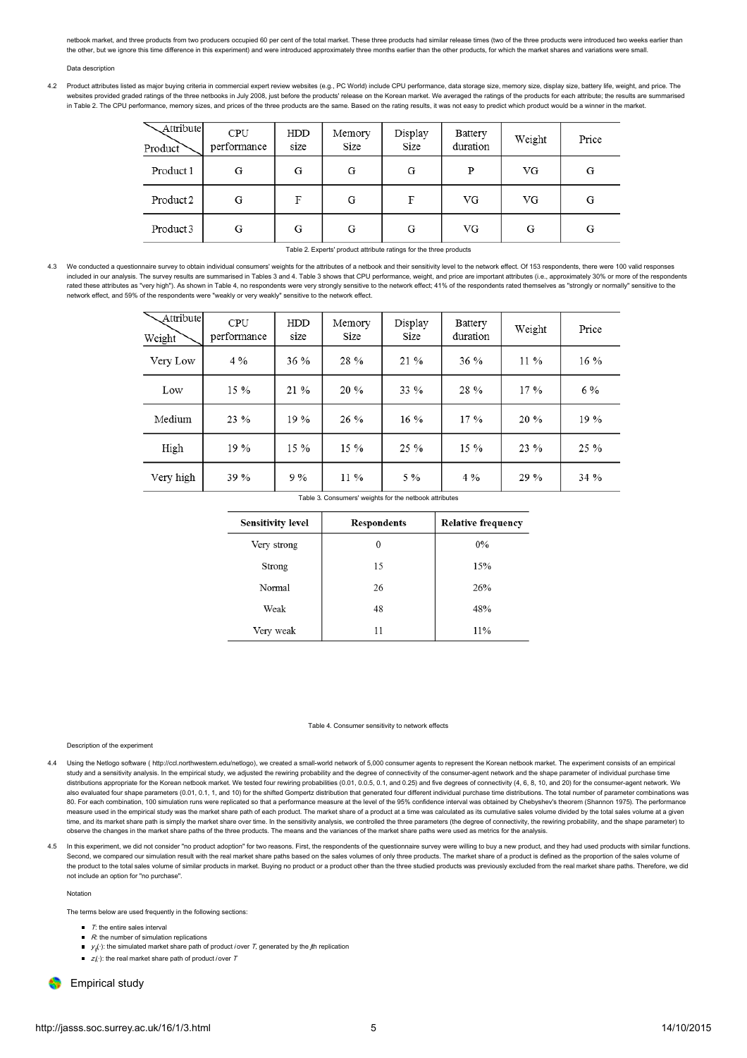netbook market, and three products from two producers occupied 60 per cent of the total market. These three products had similar release times (two of the three products were introduced two weeks earlier than the other, but we ignore this time difference in this experiment) and were introduced approximately three months earlier than the other products, for which the market shares and variations were small.

#### Data description

4.2 Product attributes listed as major buying criteria in commercial expert review websites (e.g., PC World) include CPU performance, data storage size, memory size, display size, battery life, weight, and price. The websites provided graded ratings of the three netbooks in July 2008, just before the products' release on the Korean market. We averaged the ratings of the products for each attribute; the results are summarised in Table 2. The CPU performance, memory sizes, and prices of the three products are the same. Based on the rating results, it was not easy to predict which product would be a winner in the market.

| Attribute<br>Product <sup>7</sup> | <b>CPU</b><br>performance | HDD<br>size | Memory<br>Size | Display<br>Size | Battery<br>duration | Weight | Price |
|-----------------------------------|---------------------------|-------------|----------------|-----------------|---------------------|--------|-------|
| Product 1                         | G                         | G           | G              | G               | P                   | VG     | G     |
| Product 2                         | G                         | F           | G              | F               | VG                  | VG     | G     |
| Product 3                         | G                         | G           | G              | G               | VG                  | G      | G     |

#### Table 2. Experts' product attribute ratings for the three products

4.3 We conducted a questionnaire survey to obtain individual consumers' weights for the attributes of a netbook and their sensitivity level to the network effect. Of 153 respondents, there were 100 valid responses included in our analysis. The survey results are summarised in Tables 3 and 4. Table 3 shows that CPU performance, weight, and price are important attributes (i.e., approximately 30% or more of the respondents rated these attributes as "very high"). As shown in Table 4, no respondents were very strongly sensitive to the network effect; 41% of the respondents rated themselves as "strongly or normally" sensitive to the network effect, and 59% of the respondents were "weakly or very weakly" sensitive to the network effect.

| Attribute<br>Weight | <b>CPU</b><br>performance | HDD<br>size | Memory<br>Size | Display<br>Size | Battery<br>duration | Weight | Price  |
|---------------------|---------------------------|-------------|----------------|-----------------|---------------------|--------|--------|
| Very Low            | $4\%$                     | 36 %        | 28 %           | 21 %            | 36 %                | $11\%$ | 16 %   |
| Low                 | 15 %                      | 21 %        | 20 %           | 33 %            | 28 %                | 17%    | 6%     |
| Medium              | 23 %                      | 19%         | 26 %           | 16 %            | 17 %                | 20%    | 19 %   |
| High                | 19 %                      | $15\%$      | 15 %           | 25 %            | 15 %                | $23\%$ | $25\%$ |
| Very high           | 39 %                      | 9%          | $11\%$         | $5\%$           | 4%                  | 29 %   | 34 %   |

| Table 3. Consumers' weights for the netbook attributes |  |
|--------------------------------------------------------|--|
|--------------------------------------------------------|--|

| <b>Sensitivity level</b> | <b>Respondents</b> | <b>Relative frequency</b> |
|--------------------------|--------------------|---------------------------|
| Very strong              | 0                  | $0\%$                     |
| Strong                   | 15                 | 15%                       |
| Normal                   | 26                 | 26%                       |
| Weak                     | 48                 | 48%                       |
| Very weak                | 11                 | 11%                       |

#### Table 4. Consumer sensitivity to network effects

#### Description of the experiment

- 4.4 Using the Netlogo software ( <http://ccl.northwestern.edu/netlogo>), we created a small-world network of 5,000 consumer agents to represent the Korean netbook market. The experiment consists of an empirical study and a sensitivity analysis. In the empirical study, we adjusted the rewiring probability and the degree of connectivity of the consumer-agent network and the shape parameter of individual purchase time distributions appropriate for the Korean netbook market. We tested four rewiring probabilities (0.01, 0.0.5, 0.1, and 0.25) and five degrees of connectivity (4, 6, 8, 10, and 20) for the consumer-agent network. We also evaluated four shape parameters (0.01, 0.1, 1, and 10) for the shifted Gompertz distribution that generated four different individual purchase time distributions. The total number of parameter combinations was 80. For each combination, 100 simulation runs were replicated so that a performance measure at the level of the 95% confidence interval was obtained by Chebyshev's theorem [\(Shannon](#page-11-22) 1975). The performance measure used in the empirical study was the market share path of each product. The market share of a product at a time was calculated as its cumulative sales volume divided by the total sales volume at a given time, and its market share path is simply the market share over time. In the sensitivity analysis, we controlled the three parameters (the degree of connectivity, the rewiring probability, and the shape parameter) to observe the changes in the market share paths of the three products. The means and the variances of the market share paths were used as metrics for the analysis.
- In this experiment, we did not consider "no product adoption" for two reasons. First, the respondents of the questionnaire survey were willing to buy a new product, and they had used products with similar functions. Second, we compared our simulation result with the real market share paths based on the sales volumes of only three products. The market share of a product is defined as the proportion of the sales volume of the product to the total sales volume of similar products in market. Buying no product or a product other than the three studied products was previously excluded from the real market share paths. Therefore, we did not include an option for "no purchase".

#### Notation

The terms below are used frequently in the following sections:

- $\blacksquare$   $\blacksquare$   $\blacksquare$   $\blacksquare$   $\blacksquare$   $\blacksquare$   $\blacksquare$   $\blacksquare$   $\blacksquare$   $\blacksquare$   $\blacksquare$   $\blacksquare$   $\blacksquare$   $\blacksquare$   $\blacksquare$   $\blacksquare$   $\blacksquare$   $\blacksquare$   $\blacksquare$   $\blacksquare$   $\blacksquare$   $\blacksquare$   $\blacksquare$   $\blacksquare$   $\blacksquare$   $\blacksquare$   $\blacksquare$   $\blacksquare$   $\blacksquare$   $\blacksquare$   $\blacksquare$   $\blacks$
- $\blacksquare$  R: the number of simulation replications
- $\bullet$   $y_{i}(.)$ : the simulated market share path of product *i* over T, generated by the *f*th replication
- $\blacksquare$   $z(\cdot)$ : the real market share path of product *i* over T

**C** Empirical study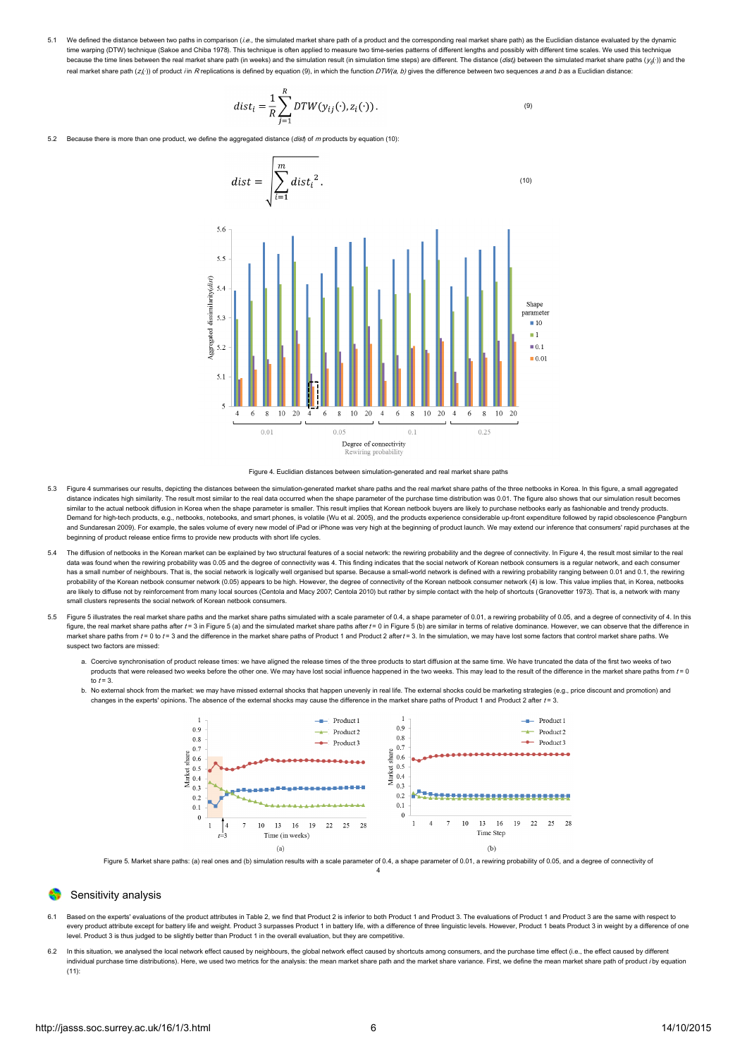5.1 We defined the distance between two paths in comparison (i.e., the simulated market share path of a product and the corresponding real market share path) as the Euclidian distance evaluated by the dynamic time warping (DTW) technique [\(Sakoe](#page-11-23) and Chiba 1978). This technique is often applied to measure two time-series patterns of different lengths and possibly with different time scales. We used this technique because the time lines between the real market share path (in weeks) and the simulation result (in simulation time steps) are different. The distance (*dist<sub>i</sub>*) between the simulated market share paths (*y<sub>ij</sub>*(·)) and t real market share path  $(z(\cdot))$  of product *i*n R replications is defined by equation (9), in which the function DTW(a, b) gives the difference between two sequences a and b as a Euclidian distance:

$$
dist_i = \frac{1}{R} \sum_{j=1}^{R} DTW(y_{ij}(\cdot), z_i(\cdot)).
$$
\n(9)

5.2 Because there is more than one product, we define the aggregated distance (dish of m products by equation (10):





- 5.3 Figure 4 summarises our results, depicting the distances between the simulation-generated market share paths and the real market share paths of the three netbooks in Korea. In this figure, a small aggregated distance indicates high similarity. The result most similar to the real data occurred when the shape parameter of the purchase time distribution was 0.01. The figure also shows that our simulation result becomes similar to the actual netbook diffusion in Korea when the shape parameter is smaller. This result implies that Korean netbook buyers are likely to purchase netbooks early as fashionable and trendy products. Demand for high-tech products, e.g., netbooks, notebooks, and smart phones, is volatile (Wu et al. [2005](#page-11-24)), and the products experience considerable up-front expenditure followed by rapid [obsolescence](#page-11-25) (Pangburn and Sundaresan 2009). For example, the sales volume of every new model of iPad or iPhone was very high at the beginning of product launch. We may extend our inference that consumers' rapid purchases at the beginning of product release entice firms to provide new products with short life cycles.
- The diffusion of netbooks in the Korean market can be explained by two structural features of a social network: the rewiring probability and the degree of connectivity. In Figure 4, the result most similar to the real data was found when the rewiring probability was 0.05 and the degree of connectivity was 4. This finding indicates that the social network of Korean netbook consumers is a regular network, and each consumer has a small number of neighbours. That is, the social network is logically well organised but sparse. Because a small-world network is defined with a rewiring probability ranging between 0.01 and 0.1, the rewiring probability of the Korean netbook consumer network (0.05) appears to be high. However, the degree of connectivity of the Korean netbook consumer network (4) is low. This value implies that, in Korea, netbooks are likely to diffuse not by reinforcement from many local sources [\(Centola](#page-11-2) and Macy 2007; [Centola](#page-11-26) 2010) but rather by simple contact with the help of shortcuts ([Granovetter](#page-11-1) 1973). That is, a network with many small clusters represents the social network of Korean netbook consumers.
- 5.5 Figure 5 illustrates the real market share paths and the market share paths simulated with a scale parameter of 0.4, a shape parameter of 0.01, a rewiring probability of 0.05, and a degree of connectivity of 4. In this figure, the real market share paths after  $t = 3$  in Figure 5 (a) and the simulated market share paths after  $t = 0$  in Figure 5 (b) are similar in terms of relative dominance. However, we can observe that the difference in market share paths from  $t = 0$  to  $t = 3$  and the difference in the market share paths of Product 1 and Product 2 after  $t = 3$ . In the simulation, we may have lost some factors that control market share paths. We suspect two factors are missed:
	- a. Coercive synchronisation of product release times: we have aligned the release times of the three products to start diffusion at the same time. We have truncated the data of the first two weeks of two products that were released two weeks before the other one. We may have lost social influence happened in the two weeks. This may lead to the result of the difference in the market share paths from  $t=0$ to  $t = 3$ .
	- b. No external shock from the market: we may have missed external shocks that happen unevenly in real life. The external shocks could be marketing strategies (e.g., price discount and promotion) and changes in the experts' opinions. The absence of the external shocks may cause the difference in the market share paths of Product 1 and Product 2 after t = 3.



Figure 5. Market share paths: (a) real ones and (b) simulation results with a scale parameter of 0.4, a shape parameter of 0.01, a rewiring probability of 0.05, and a degree of connectivity of 4

### Sensitivity analysis

- Based on the experts' evaluations of the product attributes in Table 2, we find that Product 2 is inferior to both Product 1 and Product 3. The evaluations of Product 1 and Product 1 and Product 3 are the same with respect every product attribute except for battery life and weight. Product 3 surpasses Product 1 in battery life, with a difference of three linguistic levels. However, Product 1 beats Product 3 in weight by a difference of one level. Product 3 is thus judged to be slightly better than Product 1 in the overall evaluation, but they are competitive.
- 6.2 In this situation, we analysed the local network effect caused by neighbours, the global network effect caused by shortcuts among consumers, and the purchase time effect (i.e., the effect caused by different individual purchase time distributions). Here, we used two metrics for the analysis: the mean market share path and the market share variance. First, we define the mean market share path of product i by equation  $(11)$ :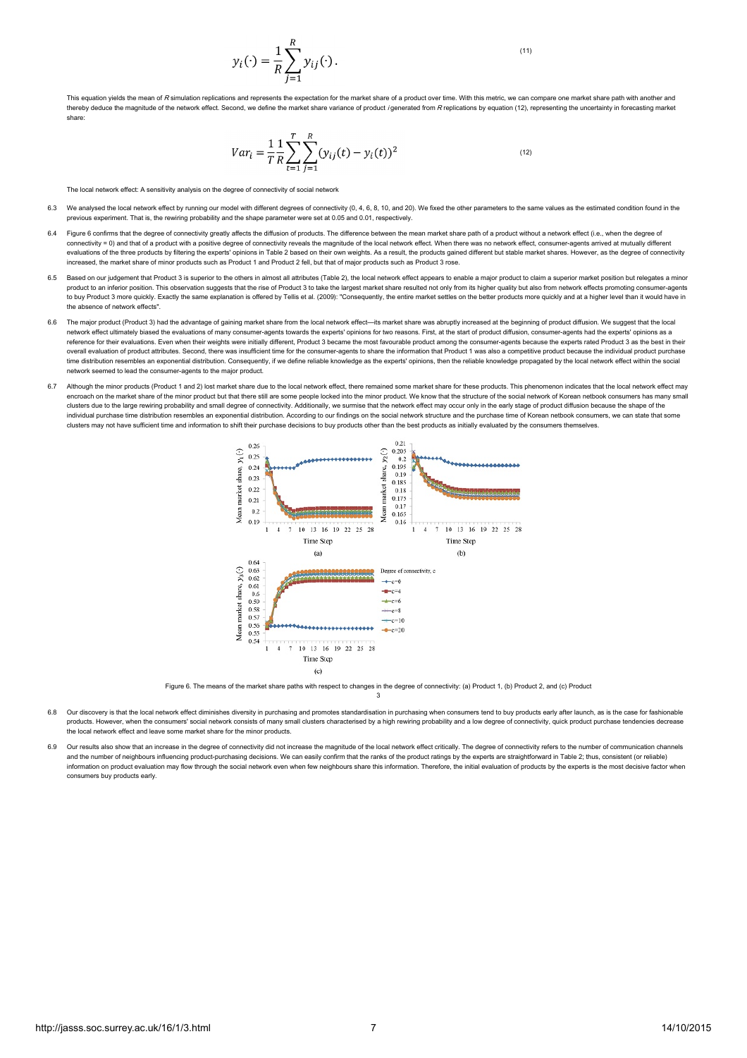$$
y_i(\cdot) = \frac{1}{R} \sum_{i=1}^R y_{ij}(\cdot).
$$

 $(11)$ 

ation yields the mean of R simulation replications and represents the expectation for the market share of a product over time. With this metric, we can compare one market share path with another and thereby deduce the magnitude of the network effect. Second, we define the market share variance of product *i* generated from R replications by equation (12), representing the uncertainty in forecasting market share:

$$
Var_i = \frac{1}{T} \frac{1}{R} \sum_{t=1}^{T} \sum_{j=1}^{R} (y_{ij}(t) - y_i(t))^2
$$
\n<sup>(12)</sup>

The local network effect: A sensitivity analysis on the degree of connectivity of social network

- 6.3 We analysed the local network effect by running our model with different degrees of connectivity (0, 4, 6, 8, 10, and 20). We fixed the other parameters to the same values as the estimated condition found in the previous experiment. That is, the rewiring probability and the shape parameter were set at 0.05 and 0.01, respectively.
- 6.4 Figure 6 confirms that the degree of connectivity greatly affects the diffusion of products. The difference between the mean market share path of a product without a network effect (i.e., when the degree of connectivity = 0) and that of a product with a positive degree of connectivity reveals the magnitude of the local network effect. When there was no network effect, consumer-agents arrived at mutually different evaluations of the three products by filtering the experts' opinions in Table 2 based on their own weights. As a result, the products gained different but stable market shares. However, as the degree of connectivity increased, the market share of minor products such as Product 1 and Product 2 fell, but that of major products such as Product 3 rose.
- Based on our judgement that Product 3 is superior to the others in almost all attributes (Table 2), the local network effect appears to enable a major product to claim a superior market position but relegates a minor product to an inferior position. This observation suggests that the rise of Product 3 to take the largest market share resulted not only from its higher quality but also from network effects promoting consumer-agents to buy Product 3 more quickly. Exactly the same explanation is offered by Tellis et al. [\(2009](#page-11-27)): "Consequently, the entire market settles on the better products more quickly and at a higher level than it would have in the absence of network effects".
- 6.6 The major product (Product 3) had the advantage of gaining market share from the local network effect—its market share was abruptly increased at the beginning of product diffusion. We suggest that the local network effect ultimately biased the evaluations of many consumer-agents towards the experts' opinions for two reasons. First, at the start of product diffusion, consumer-agents had the experts' opinions as a reference for their evaluations. Even when their weights were initially different, Product 3 became the most favourable product among the consumer-agents because the experts rated Product 3 as the best in their overall evaluation of product attributes. Second, there was insufficient time for the consumer-agents to share the information that Product 1 was also a competitive product because the individual product purchase time distribution resembles an exponential distribution. Consequently, if we define reliable knowledge as the experts' opinions, then the reliable knowledge propagated by the local network effect within the social network seemed to lead the consumer-agents to the major product.
- 6.7 Although the minor products (Product 1 and 2) lost market share due to the local network effect, there remained some market share for these products. This phenomenon indicates that the local network effect may encroach on the market share of the minor product but that there still are some people locked into the minor product. We know that the structure of the social network of Korean netbook consumers has many small clusters due to the large rewiring probability and small degree of connectivity. Additionally, we surmise that the network effect may occur only in the early stage of product diffusion because the shape of the individual purchase time distribution resembles an exponential distribution. According to our findings on the social network structure and the purchase time of Korean netbook consumers, we can state that some clusters may not have sufficient time and information to shift their purchase decisions to buy products other than the best products as initially evaluated by the consumers themselves.



Figure 6. The means of the market share paths with respect to changes in the degree of connectivity: (a) Product 1, (b) Product 2, and (c) Product 3

- 6.8 Our discovery is that the local network effect diminishes diversity in purchasing and promotes standardisation in purchasing when consumers tend to buy products early after launch, as is the case for fashionable products. However, when the consumers' social network consists of many small clusters characterised by a high rewiring probability and a low degree of connectivity, quick product purchase tendencies decrease the local network effect and leave some market share for the minor products.
- Our results also show that an increase in the degree of connectivity did not increase the magnitude of the local network effect critically. The degree of connectivity refers to the number of communication channels and the number of neighbours influencing product-purchasing decisions. We can easily confirm that the ranks of the product ratings by the experts are straightforward in Table 2; thus, consistent (or reliable) information on product evaluation may flow through the social network even when few neighbours share this information. Therefore, the initial evaluation of products by the experts is the most decisive factor when consumers buy products early.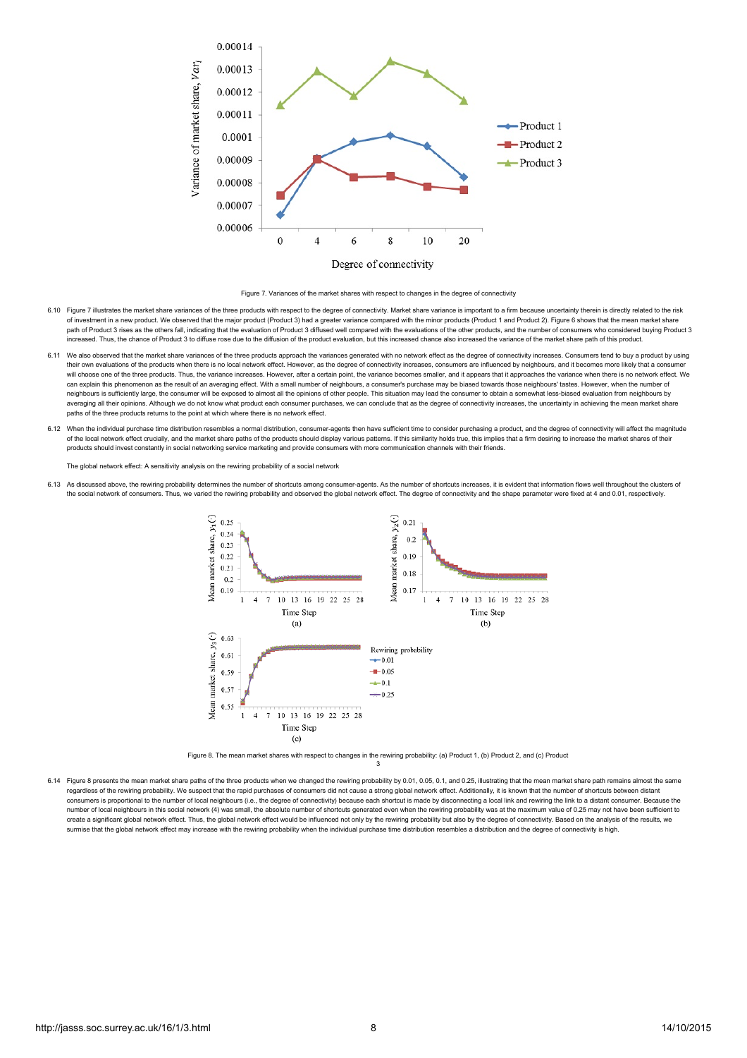



- 6.10 Figure 7 illustrates the market share variances of the three products with respect to the degree of connectivity. Market share variance is important to a firm because uncertainty therein is directly related to the ris of investment in a new product. We observed that the major product (Product 3) had a greater variance compared with the minor products (Product 1 and Product 2). Figure 6 shows that the mean market share path of Product 3 rises as the others fall, indicating that the evaluation of Product 3 diffused well compared with the evaluations of the other products, and the number of consumers who considered buying Product 3 increased. Thus, the chance of Product 3 to diffuse rose due to the diffusion of the product evaluation, but this increased chance also increased the variance of the market share path of this product.
- 6.11 We also observed that the market share variances of the three products approach the variances generated with no network effect as the degree of connectivity increases. Consumers tend to buy a product by using their own evaluations of the products when there is no local network effect. However, as the degree of connectivity increases, consumers are influenced by neighbours, and it becomes more likely that a consume will choose one of the three products. Thus, the variance increases. However, after a certain point, the variance becomes smaller, and it appears that it approaches the variance when there is no network effect. We can explain this phenomenon as the result of an averaging effect. With a small number of neighbours, a consumer's purchase may be biased towards those neighbours' tastes. However, when the number of neighbours is sufficiently large, the consumer will be exposed to almost all the opinions of other people. This situation may lead the consumer to obtain a somewhat less-biased evaluation from neighbours by averaging all their opinions. Although we do not know what product each consumer purchases, we can conclude that as the degree of connectivity increases, the uncertainty in achieving the mean market share paths of the three products returns to the point at which where there is no network effect.
- 6.12 When the individual purchase time distribution resembles a normal distribution, consumer-agents then have sufficient time to consider purchasing a product, and the degree of connectivity will affect the magnitude of the local network effect crucially, and the market share paths of the products should display various patterns. If this similarity holds true, this implies that a firm desiring to increase the market shares of their products should invest constantly in social networking service marketing and provide consumers with more communication channels with their friends.

The global network effect: A sensitivity analysis on the rewiring probability of a social network

6.13 As discussed above, the rewiring probability determines the number of shortcuts among consumer-agents. As the number of shortcuts increases, it is evident that information flows well throughout the clusters of the social network of consumers. Thus, we varied the rewiring probability and observed the global network effect. The degree of connectivity and the shape parameter were fixed at 4 and 0.01, respectively.



Figure 8. The mean market shares with respect to changes in the rewiring probability: (a) Product 1, (b) Product 2, and (c) Product 3

6.14 Figure 8 presents the mean market share paths of the three products when we changed the rewiring probability by 0.01, 0.05, 0.1, and 0.25, illustrating that the mean market share path remains almost the same regardless of the rewiring probability. We suspect that the rapid purchases of consumers did not cause a strong global network effect. Additionally, it is known that the number of shortcuts between distant consumers is proportional to the number of local neighbours (i.e., the degree of connectivity) because each shortcut is made by disconnecting a local link and rewiring the link to a distant consumer. Because the number of local neighbours in this social network (4) was small, the absolute number of shortcuts generated even when the rewiring probability was at the maximum value of 0.25 may not have been sufficient to create a significant global network effect. Thus, the global network effect would be influenced not only by the rewiring probability but also by the degree of connectivity. Based on the analysis of the results, we surmise that the global network effect may increase with the rewiring probability when the individual purchase time distribution resembles a distribution and the degree of connectivity is high.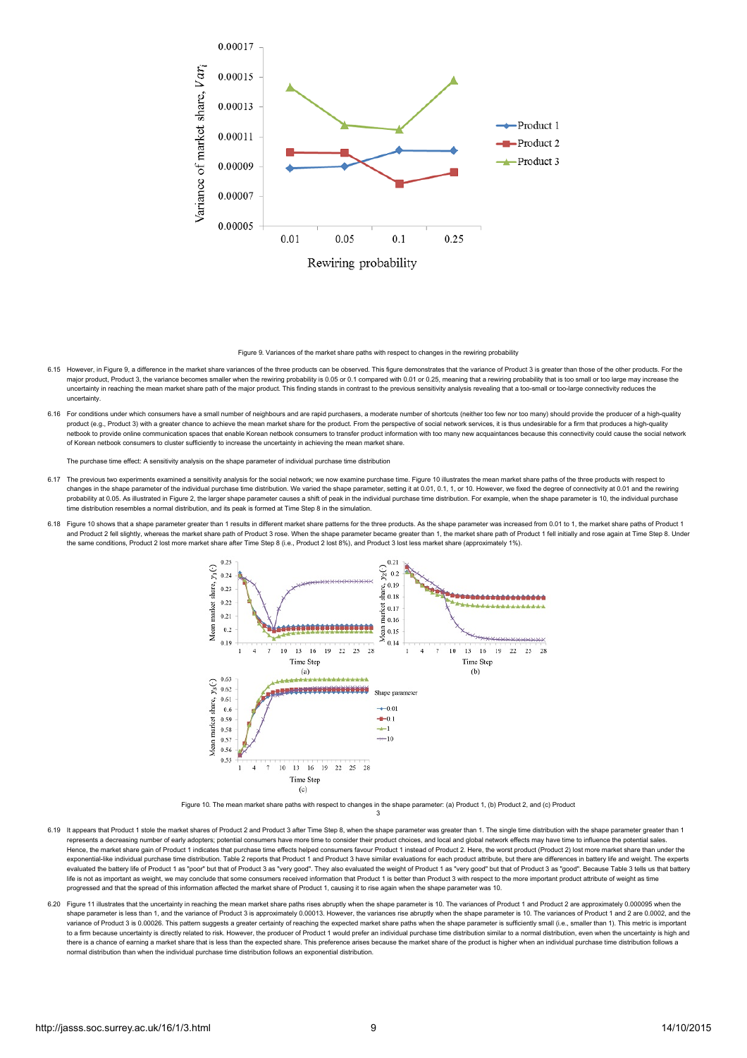

Figure 9. Variances of the market share paths with respect to changes in the rewiring probability

- 6.15 However, in Figure 9, a difference in the market share variances of the three products can be observed. This figure demonstrates that the variance of Product 3 is greater than those of the other products. For the major product, Product 3, the variance becomes smaller when the rewiring probability is 0.05 or 0.1 compared with 0.01 or 0.25, meaning that a rewiring probability that is too small or too large may increase the uncertainty in reaching the mean market share path of the major product. This finding stands in contrast to the previous sensitivity analysis revealing that a too-small or too-large connectivity reduces the uncertainty.
- 6.16 For conditions under which consumers have a small number of neighbours and are rapid purchasers, a moderate number of shortcuts (neither too few nor too many) should provide the producer of a high-quality product (e.g., Product 3) with a greater chance to achieve the mean market share for the product. From the perspective of social network services, it is thus undesirable for a firm that produces a high-quality preduct to provide online communication spaces that enable Korean netbook consumers to transfer product information with too many new acquaintances because this connectivity could cause the social network consumers to tran of Korean netbook consumers to cluster sufficiently to increase the uncertainty in achieving the mean market share.

The purchase time effect: A sensitivity analysis on the shape parameter of individual purchase time distribution

- 6.17 The previous two experiments examined a sensitivity analysis for the social network; we now examine purchase time. Figure 10 illustrates the mean market share paths of the three products with respect to changes in the shape parameter of the individual purchase time distribution. We varied the shape parameter, setting it at 0.01, 0.1, 1, or 10. However, we fixed the degree of connectivity at 0.01 and the rewiring probability at 0.05. As illustrated in Figure 2, the larger shape parameter causes a shift of peak in the individual purchase time distribution. For example, when the shape parameter is 10, the individual purchase time distribution resembles a normal distribution, and its peak is formed at Time Step 8 in the simulation.
- 6.18 Figure 10 shows that a shape parameter greater than 1 results in different market share patterns for the three products. As the shape parameter was increased from 0.01 to 1, the market share paths of Product 1 and Product 2 fell slightly, whereas the market share path of Product 3 rose. When the shape parameter became greater than 1, the market share path of Product 1 fell initially and rose again at Time Step 8. Under the same conditions, Product 2 lost more market share after Time Step 8 (i.e., Product 2 lost 8%), and Product 3 lost less market share (approximately 1%).



Figure 10. The mean market share paths with respect to changes in the shape parameter: (a) Product 1, (b) Product 2, and (c) Product 3

- 6.19 It appears that Product 1 stole the market shares of Product 2 and Product 3 after Time Step 8, when the shape parameter was greater than 1. The single time distribution with the shape parameter greater than 1 represents a decreasing number of early adopters; potential consumers have more time to consider their product choices, and local and global network effects may have time to influence the potential sales. Hence, the market share gain of Product 1 indicates that purchase time effects helped consumers favour Product 1 instead of Product 2. Here, the worst product (Product 2) lost more market share than under the exponential-like individual purchase time distribution. Table 2 reports that Product 1 and Product 3 have similar evaluations for each product attribute, but there are differences in battery life and weight. The experts evaluated the battery life of Product 1 as "poor" but that of Product 3 as "very good". They also evaluated the weight of Product 1 as "very good" but that of Product 3 as "good". Because Table 3 tells us that battery life is not as important as weight, we may conclude that some consumers received information that Product 1 is better than Product 3 with respect to the more important product attribute of weight as time progressed and that the spread of this information affected the market share of Product 1, causing it to rise again when the shape parameter was 10.
- 6.20 Figure 11 illustrates that the uncertainty in reaching the mean market share paths rises abruptly when the shape parameter is 10. The variances of Product 1 and Product 2 are approximately 0.000095 when the  $s_{\rm b}$ shape parameter is less than 1, and the variance of Product 3 is approximately 0.00013. However, the variances rise abruptly when the shape parameter is 10. The variances of Product 1 and 2 are 0.0002, and the sha variance of Product 3 is 0.00026. This pattern suggests a greater certainty of reaching the expected market share paths when the shape parameter is sufficiently small (i.e., smaller than 1). This metric is important to a firm because uncertainty is directly related to risk. However, the producer of Product 1 would prefer an individual purchase time distribution similar to a normal distribution, even when the uncertainty is high and there is a chance of earning a market share that is less than the expected share. This preference arises because the market share of the product is higher when an individual purchase time distribution follows a normal distribution than when the individual purchase time distribution follows an exponential distribution.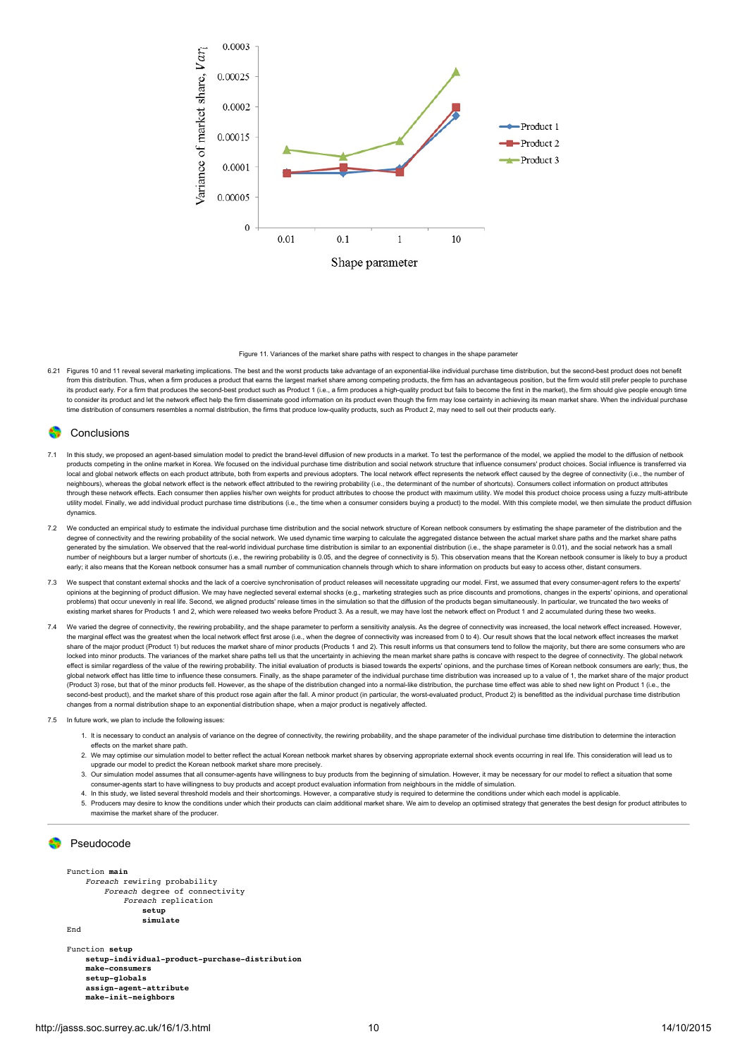

Figure 11. Variances of the market share paths with respect to changes in the shape parameter

6.21 Figures 10 and 11 reveal several marketing implications. The best and the worst products take advantage of an exponential-like individual purchase time distribution, but the second-best product does not benefit from this distribution. Thus, when a firm produces a product that earns the largest market share among competing products, the firm has an advantageous position, but the firm would still prefer people to purchase its product early. For a firm that produces the second-best product such as Product 1 (i.e., a firm produces a high-quality product but fails to become the first in the market), the firm should give people enough time to consider its product and let the network effect help the firm disseminate good information on its product even though the firm may lose certainty in achieving its mean market share. When the individual purchase time distribution of consumers resembles a normal distribution, the firms that produce low-quality products, such as Product 2, may need to sell out their products early.

### **Conclusions**

- In this study, we proposed an agent-based simulation model to predict the brand-level diffusion of new products in a market. To test the performance of the model, we applied the model to the diffusion of netbook products competing in the online market in Korea. We focused on the individual purchase time distribution and social network structure that influence consumers' product choices. Social influence is transferred via local and global network effects on each product attribute, both from experts and previous adopters. The local network effect represents the network effect caused by the degree of connectivity (i.e., the number of neighbours), whereas the global network effect is the network effect attributed to the rewiring probability (i.e., the determinant of the number of shortcuts). Consumers collect information on product attributes through these network effects. Each consumer then applies his/her own weights for product attributes to choose the product with maximum utility. We model this product choice process using a fuzzy multi-attribute utility model. Finally, we add individual product purchase time distributions (i.e., the time when a consumer considers buying a product) to the model. With this complete model, we then simulate the product diffusion dynamics.
- 7.2 We conducted an empirical study to estimate the individual purchase time distribution and the social network structure of Korean netbook consumers by estimating the shape parameter of the distribution and the degree of connectivity and the rewiring probability of the social network. We used dynamic time warping to calculate the aggregated distance between the actual market share paths and the market share paths and the market s generated by the simulation. We observed that the real-world individual purchase time distribution is similar to an exponential distribution (i.e., the shape parameter is 0.01), and the social network has a small number of neighbours but a larger number of shortcuts (i.e., the rewiring probability is 0.05, and the degree of connectivity is 5). This observation means that the Korean netbook consumer is likely to buy a product early; it also means that the Korean netbook consumer has a small number of communication channels through which to share information on products but easy to access other, distant consumers
- 7.3 We suspect that constant external shocks and the lack of a coercive synchronisation of product releases will necessitate upgrading our model. First, we assumed that every consumer-agent refers to the experts' opinions at the beginning of product diffusion. We may have neglected several external shocks (e.g., marketing strategies such as price discounts and promotions, changes in the experts' opinions, and operational problems) that occur unevenly in real life. Second, we aligned products' release times in the simulation so that the diffusion of the products began simultaneously. In particular, we truncated the two weeks of existing market shares for Products 1 and 2, which were released two weeks before Product 3. As a result, we may have lost the network effect on Product 1 and 2 accumulated during these two weeks.
- We varied the degree of connectivity, the rewiring probability, and the shape parameter to perform a sensitivity analysis. As the degree of connectivity was increased, the local network effect increased. However, the marginal effect was the greatest when the local network effect first arose (i.e., when the degree of connectivity was increased from 0 to 4). Our result shows that the local network effect increases the market share of the major product (Product 1) but reduces the market share of minor products (Products 1 and 2). This result informs us that consumers tend to follow the majority, but there are some consumers who are locked into minor products. The variances of the market share paths tell us that the uncertainty in achieving the mean market share paths is concave with respect to the degree of connectivity. The global network effect is similar regardless of the value of the rewiring probability. The initial evaluation of products is biased towards the experts' opinions, and the purchase times of Korean netbook consumers are early; thus, the global network effect has little time to influence these consumers. Finally, as the shape parameter of the individual purchase time distribution was increased up to a value of 1, the market share of the major product (Product 3) rose, but that of the minor products fell. However, as the shape of the distribution changed into a normal-like distribution, the purchase time effect was able to shed new light on Product 1 (i.e., the .<br>second-best product), and the market share of this product rose again after the fall. A minor product (in particular, the worst-evaluated product, Product 2) is benefitted as the individual purchase time distribution changes from a normal distribution shape to an exponential distribution shape, when a major product is negatively affected.
- 7.5 In future work, we plan to include the following issues:
	- 1. It is necessary to conduct an analysis of variance on the degree of connectivity, the rewiring probability, and the shape parameter of the individual purchase time distribution to determine the interaction effects on the market share path.
	- 2. We may optimise our simulation model to better reflect the actual Korean netbook market shares by observing appropriate external shock events occurring in real life. This consideration will lead us to upgrade our model to predict the Korean netbook market share more precisely.
	- 3. Our simulation model assumes that all consumer-agents have willingness to buy products from the beginning of simulation. However, it may be necessary for our model to reflect a situation that some consumer-agents start to have willingness to buy products and accept product evaluation information from neighbours in the middle of simulation.
	- 4. In this study, we listed several threshold models and their shortcomings. However, a comparative study is required to determine the conditions under which each model is applicable.
	- 5. Producers may desire to know the conditions under which their products can claim additional market share. We aim to develop an optimised strategy that generates the best design for product attributes to maximise the market share of the producer.

### **Pseudocode**

Function **main** Foreach rewiring probability Foreach degree of connectivity Foreach replication **setup simulate**

End

Function **setup setup-individual-product-purchase-distribution make-consumers setup-globals assign-agent-attribute make-init-neighbors**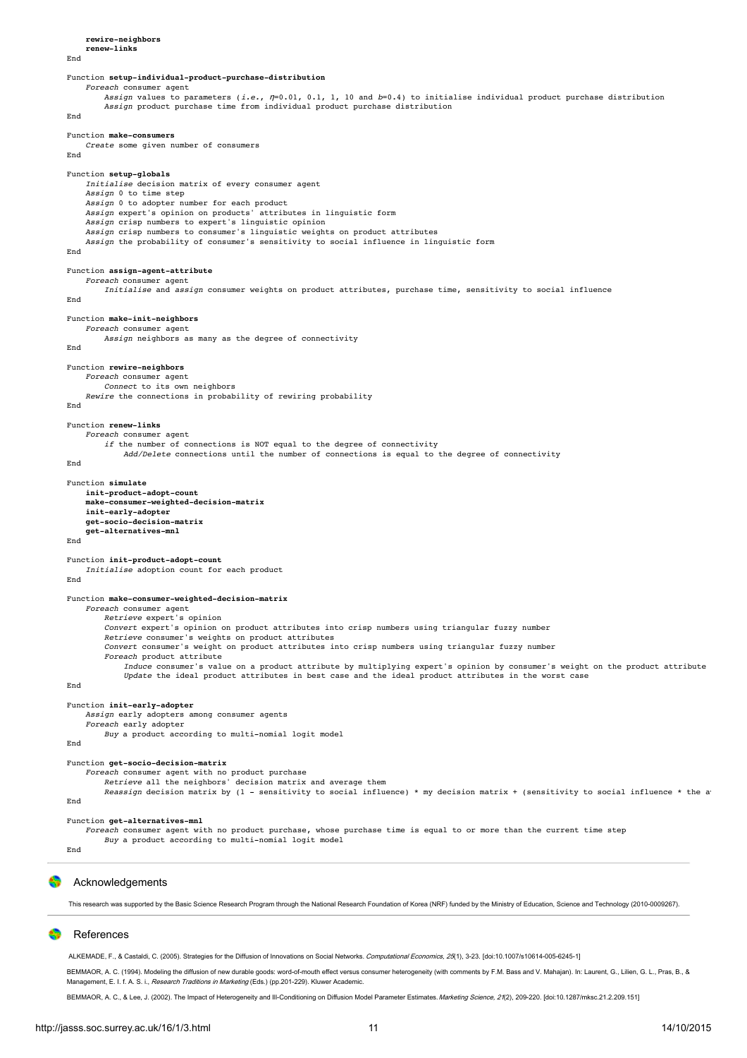**rewire-neighbors renew-links** End Function **setup-individual-product-purchase-distribution** Foreach consumer agent Assign values to parameters (*i.e., n*=0.01, 0.1, 1, 10 and *b*=0.4) to initialise individual product purchase distribution<br>Ass*ign* product purchase time from individual product purchase distribution End Function **make-consumers** Create some given number of consumers End Function **setup-globals** Initialise decision matrix of every consumer agent Assign 0 to time step Assign 0 to adopter number for each product Assign expert's opinion on products' attributes in linguistic form Assign crisp numbers to expert's linguistic opinion Assign crisp numbers to consumer's linguistic weights on product attributes Assign the probability of consumer's sensitivity to social influence in linguistic form End Function **assign-agent-attribute** Foreach consumer agent Initialise and assign consumer weights on product attributes, purchase time, sensitivity to social influence End Function **make-init-neighbors** Foreach consumer agent Assign neighbors as many as the degree of connectivity End Function **rewire-neighbors** Foreach consumer agent Connect to its own neighbors Rewire the connections in probability of rewiring probability End Function **renew-links** Foreach consumer agent if the number of connections is NOT equal to the degree of connectivity Add/Delete connections until the number of connections is equal to the degree of connectivity End Function **simulate init-product-adopt-count make-consumer-weighted-decision-matrix init-early-adopter get-socio-decision-matrix get-alternatives-mnl** End Function **init-product-adopt-count** Initialise adoption count for each product End Function **make-consumer-weighted-decision-matrix** Foreach consumer agent Retrieve expert's opinion Convert expert's opinion on product attributes into crisp numbers using triangular fuzzy number Retrieve consumer's weights on product attributes Convert consumer's weight on product attributes into crisp numbers using triangular fuzzy number Foreach product attribute Induce consumer's value on a product attribute by multiplying expert's opinion by consumer's weight on the product attribute Update the ideal product attributes in best case and the ideal product attributes in the worst case End Function **init-early-adopter** Assign early adopters among consumer agents Foreach early adopter Buy a product according to multi-nomial logit model End Function **get-socio-decision-matrix** Foreach consumer agent with no product purchase Retrieve all the neighbors' decision matrix and average them Reassign decision matrix by (1 - sensitivity to social influence) \* my decision matrix + (sensitivity to social influence \* the a End Function **get-alternatives-mnl** Foreach consumer agent with no product purchase, whose purchase time is equal to or more than the current time step Buy a product according to multi-nomial logit model End

### Acknowledgements

This research was supported by the Basic Science Research Program through the National Research Foundation of Korea (NRF) funded by the Ministry of Education, Science and Technology (2010-0009267).

### References

<span id="page-10-0"></span>ALKEMADE, F., & Castaldi, C. (2005). Strategies for the Diffusion of Innovations on Social Networks. Computational Economics, 25(1), 3-23. [\[doi:10.1007/s10614-005-6245-1\]](http://dx.doi.org/10.1007/s10614-005-6245-1)

<span id="page-10-2"></span>BEMMAOR, A. C. (1994). Modeling the diffusion of new durable goods: word-of-mouth effect versus consumer heterogeneity (with comments by F.M. Bass and V. Mahajan). In: Laurent, G., Lilien, G. L., Pras, B., & Management, E. I. f. A. S. i., Research Traditions in Marketing (Eds.) (pp.201-229). Kluwer Academic.

<span id="page-10-1"></span>BEMMAOR, A. C., & Lee, J. (2002). The Impact of Heterogeneity and Ill-Conditioning on Diffusion Model Parameter Estimates. Marketing Science, 21(2), 209-220. [\[doi:10.1287/mksc.21.2.209.151\]](http://dx.doi.org/10.1287/mksc.21.2.209.151)